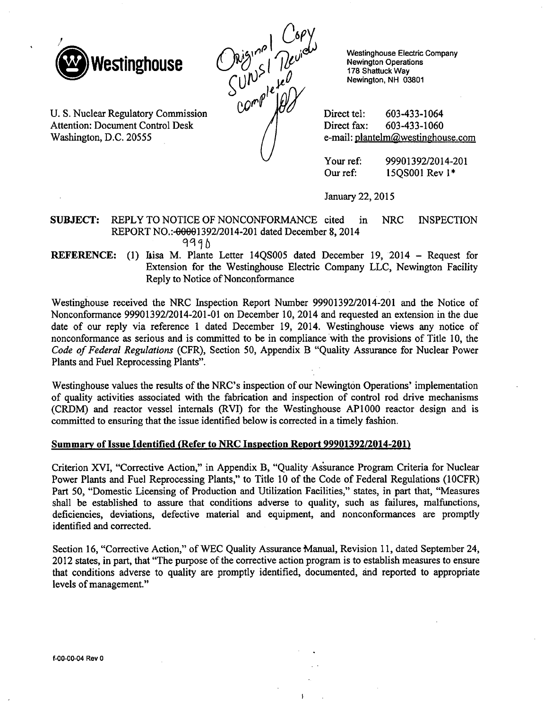

U. S. Nuclear Regulatory Commission Attention: Document Control Desk

Washington, D.C. 20555

 $\binom{\binom{16}{100}}{\binom{10}{100}}$  S |  $\binom{\binom{16}{100}}{\binom{178}{1000}}$  S |  $\binom{\binom{16}{100}}{\binom{178}{1000}}$  S |  $\binom{\binom{16}{100}}{\binom{178}{1000}}$  S |  $\binom{\binom{16}{100}}{\binom{178}{1000}}$  S |  $\binom{\binom{16}{1000}}{\binom{178}{10000}}$  S |  $\binom{\binom{16}{1000}}{\$ 

Westinghouse Electric Company Newington Operations 178 Shattuck Way Newington, NH 03801

Direct fax: 603-433-1060 e-mail: plantelm@westinghouse.com

Your ref: 99901392/2014-201 Our ref: **15QSOO1** Rev **1\***

January 22, 2015

## SUBJECT: REPLY TO NOTICE OF NONCONFORMANCE cited in NRC INSPECTION REPORT NO.:-00001392/2014-201 dated December 8, 2014 9990

REFERENCE: (1) Itisa M. Plante Letter 14OS005 dated December 19, 2014 - Request for Extension for the Westinghouse Electric Company LLC, Newington Facility Reply to Notice of Nonconformance

Westinghouse received the NRC Inspection Report Number 99901392/2014-201 and the Notice of Nonconformance 99901392/2014-201-01 on December 10, 2014 and requested an extension in the due date of our reply via reference **I** dated December 19, 2014. Westinghouse views any notice of nonconformance as serious and is committed to be in compliance with the provisions of Title 10, the *Code of Federal Regulations* (CFR), Section 50, Appendix B "Quality Assurance for Nuclear Power Plants and Fuel Reprocessing Plants".

Westinghouse values the results of the NRC's inspection of our Newington Operations' implementation of quality activities associated with the fabrication and inspection of control rod drive mechanisms (CRDM) and reactor vessel internals (RVI) for the Westinghouse AP1000 reactor design and is committed to ensuring that the issue identified below is corrected in a timely fashion.

#### Summary of Issue Identified (Refer to NRC Inspection Report 99901392/2014-201)

Criterion XVI, "Corrective Action," in Appendix B, "Quality Assurance Program Criteria for Nuclear Power Plants and Fuel Reprocessing Plants," to Title 10 of the Code of Federal Regulations (10CFR) Part 50, "Domestic Licensing of Production and Utilization Facilities," states, in part that, "Measures shall be established to assure that conditions adverse to quality, such as failures, malfunctions, deficiencies, deviations, defective material and equipment, and nonconformances are promptly identified and corrected.

Section 16, "Corrective Action," of WEC Quality Assurance Manual, Revision 11, dated September 24, 2012 states, in part, that "The purpose of the corrective action program is to establish measures to ensure that conditions adverse to quality are promptly identified, documented, and reported to appropriate levels of management."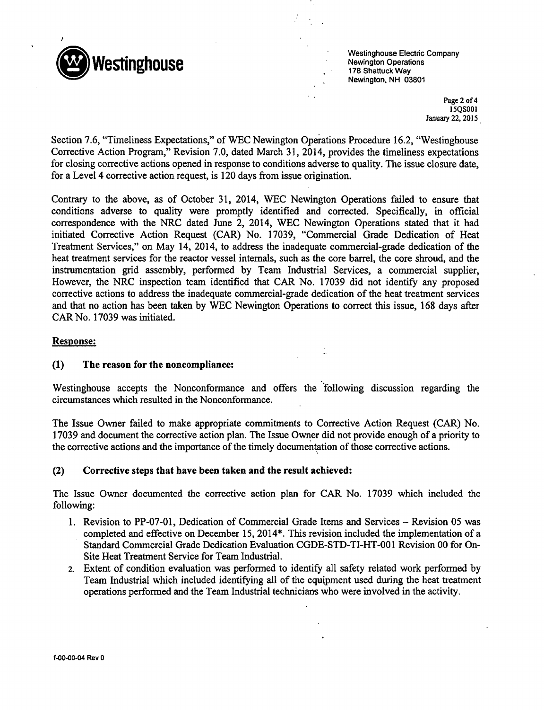

Westinghouse Electric Company 0 **Westinghouse** Newington Operations 178 Shattuck Way Newington, NH 03801

> Page 2 of 4 **15QSOOI** January 22, 2015

Section 7.6, "Timeliness Expectations," of WEC Newington Operations Procedure 16.2, "Westinghouse Corrective Action Program," Revision 7.0, dated March 31, 2014, provides the timeliness expectations for closing corrective actions opened in response to conditions adverse to quality. The issue closure date, for a Level 4 corrective action request, is 120 days from issue origination.

Contrary to the above, as of October 31, 2014, WEC Newington Operations failed to ensure that conditions adverse to quality were promptly identified and corrected. Specifically, in official correspondence with the NRC dated June 2, 2014, WEC Newington Operations stated that it had initiated Corrective Action Request (CAR) No. 17039, "Commercial Grade Dedication of Heat Treatment Services," on May 14, 2014, to address the inadequate commercial-grade dedication of the heat treatment services for the reactor vessel internals, such as the core barrel, the core shroud, and the instrumentation grid assembly, performed by Team Industrial Services, a commercial supplier, However, the NRC inspection team identified that CAR No. 17039 did not identify any proposed corrective actions to address the inadequate commercial-grade dedication of the heat treatment services and that no action has been taken by WEC Newington Operations to correct this issue, 168 days after CAR No. 17039 was initiated.

## Response:

## **(1)** The reason for the noncompliance:

Westinghouse accepts the Nonconformance and offers the "following discussion regarding the circumstances which resulted in the Nonconformance.

The Issue Owner failed to make appropriate commitments to Corrective Action Request (CAR) No. 17039 and document the corrective action plan. The Issue Owner did not provide enough of a priority to the corrective actions and the importance of the timely documentation of those corrective actions.

## (2) Corrective steps that have been taken and the result achieved:

The Issue Owner documented the corrective action plan for CAR No. 17039 which included the following:

- 1. Revision to PP-07-01, Dedication of Commercial Grade Items and Services Revision 05 was completed and effective on December 15, 2014\*. This revision included the implementation of a Standard Commercial Grade Dedication Evaluation CGDE-STD-TI-HT-001 Revision 00 for On-Site Heat Treatment Service for Team Industrial.
- 2. Extent of condition evaluation was performed to identify all safety related work performed by Team Industrial which included identifying all of the equipment used during the heat treatment operations performed and the Team Industrial technicians who were involved in the activity.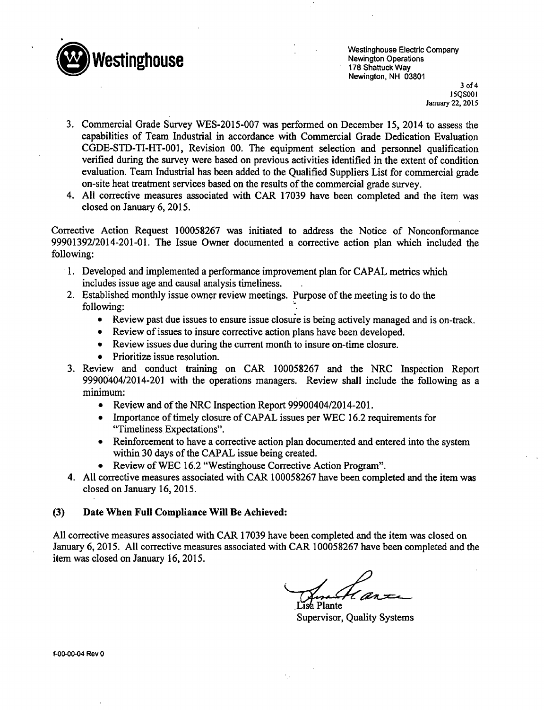

Westinghouse Electric Company Newington, NH 03801

3 of 4 15QSO01 January 22, 2015

- 3. Commercial Grade Survey WES-2015-007 was performed on December 15, 2014 to assess the capabilities of Team Industrial in accordance with Commercial Grade Dedication Evaluation CGDE-STD-TI-HT-001, Revision 00. The equipment selection and personnel qualification verified during the survey were based on previous activities identified in the extent of condition evaluation. Team Industrial has been added to the Qualified Suppliers List for commercial grade on-site heat treatment services based on the results of the commercial grade survey.
- 4. All corrective measures associated with CAR 17039 have been completed and the item was closed on January 6, 2015.

Corrective Action Request 100058267 was initiated to address the Notice of Nonconformance 99901392/2014-201-01. The Issue Owner documented a corrective action plan which included the following:

- 1. Developed and implemented a performance improvement plan for CAPAL metrics which includes issue age and causal analysis timeliness.
- 2. Established monthly issue owner review meetings. Purpose of the meeting is to do the following:
	- \* Review past due issues to ensure issue closure is being actively managed and is on-track.
	- \* Review of issues to insure corrective action plans have been developed.
	- Review issues due during the current month to insure on-time closure.
	- Prioritize issue resolution.
- 3. Review and conduct training on CAR 100058267 and the NRC Inspection Report 99900404/2014-201 with the operations managers. Review shall include the following as a minimum:
	- Review and of the NRC Inspection Report 99900404/2014-201.
	- Importance of timely closure of CAPAL issues per WEC 16.2 requirements for "Timeliness. Expectations".
	- Reinforcement to have a corrective action plan documented and entered into the system within 30 days of the CAPAL issue being created.
	- Review of WEC 16.2 "Westinghouse Corrective Action Program".
- 4. All corrective measures associated with CAR 100058267 have been completed and the item was closed on January 16, 2015.

# **(3)** Date When Full Compliance Will Be Achieved:

All corrective measures associated with CAR 17039 have been completed and the item was closed on January 6, 2015. All corrective measures associated with CAR 100058267 have been completed and the item was closed on January 16, 2015.

h Plante

Supervisor, Quality Systems